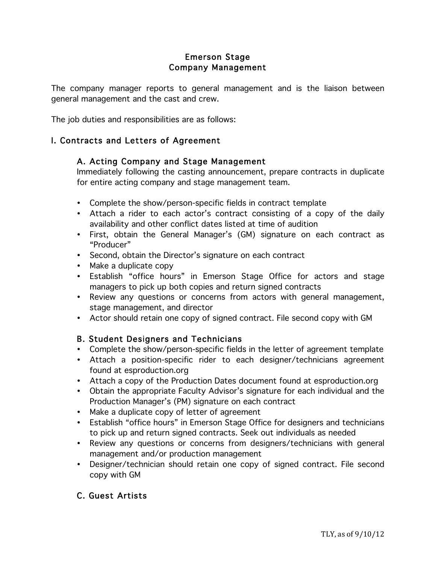# Emerson Stage Company Management

The company manager reports to general management and is the liaison between general management and the cast and crew.

The job duties and responsibilities are as follows:

### I. Contracts and Letters of Agreement

### A. Acting Company and Stage Management

Immediately following the casting announcement, prepare contracts in duplicate for entire acting company and stage management team.

- Complete the show/person-specific fields in contract template
- Attach a rider to each actor's contract consisting of a copy of the daily availability and other conflict dates listed at time of audition
- First, obtain the General Manager's (GM) signature on each contract as "Producer"
- Second, obtain the Director's signature on each contract
- Make a duplicate copy
- Establish "office hours" in Emerson Stage Office for actors and stage managers to pick up both copies and return signed contracts
- Review any questions or concerns from actors with general management, stage management, and director
- Actor should retain one copy of signed contract. File second copy with GM

#### B. Student Designers and Technicians

- Complete the show/person-specific fields in the letter of agreement template
- Attach a position-specific rider to each designer/technicians agreement found at esproduction.org
- Attach a copy of the Production Dates document found at esproduction.org
- Obtain the appropriate Faculty Advisor's signature for each individual and the Production Manager's (PM) signature on each contract
- Make a duplicate copy of letter of agreement
- Establish "office hours" in Emerson Stage Office for designers and technicians to pick up and return signed contracts. Seek out individuals as needed
- Review any questions or concerns from designers/technicians with general management and/or production management
- Designer/technician should retain one copy of signed contract. File second copy with GM

#### C. Guest Artists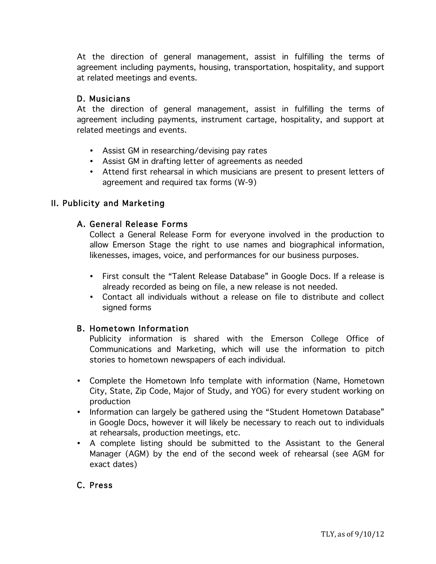At the direction of general management, assist in fulfilling the terms of agreement including payments, housing, transportation, hospitality, and support at related meetings and events.

### D. Musicians

At the direction of general management, assist in fulfilling the terms of agreement including payments, instrument cartage, hospitality, and support at related meetings and events.

- Assist GM in researching/devising pay rates
- Assist GM in drafting letter of agreements as needed
- Attend first rehearsal in which musicians are present to present letters of agreement and required tax forms (W-9)

# II. Publicity and Marketing

# A. General Release Forms

Collect a General Release Form for everyone involved in the production to allow Emerson Stage the right to use names and biographical information, likenesses, images, voice, and performances for our business purposes.

- First consult the "Talent Release Database" in Google Docs. If a release is already recorded as being on file, a new release is not needed.
- Contact all individuals without a release on file to distribute and collect signed forms

#### B. Hometown Information

Publicity information is shared with the Emerson College Office of Communications and Marketing, which will use the information to pitch stories to hometown newspapers of each individual.

- Complete the Hometown Info template with information (Name, Hometown City, State, Zip Code, Major of Study, and YOG) for every student working on production
- Information can largely be gathered using the "Student Hometown Database" in Google Docs, however it will likely be necessary to reach out to individuals at rehearsals, production meetings, etc.
- A complete listing should be submitted to the Assistant to the General Manager (AGM) by the end of the second week of rehearsal (see AGM for exact dates)

# C. Press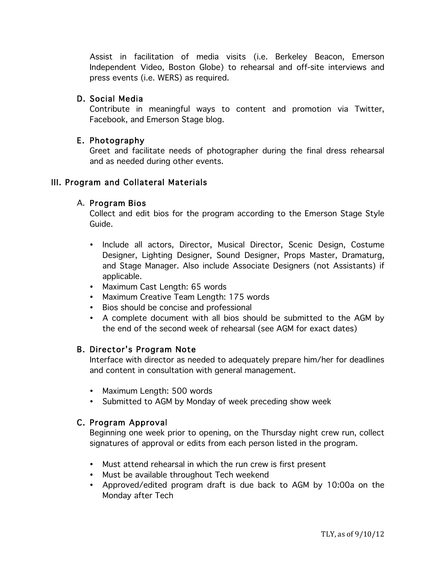Assist in facilitation of media visits (i.e. Berkeley Beacon, Emerson Independent Video, Boston Globe) to rehearsal and off-site interviews and press events (i.e. WERS) as required.

#### D. Social Media

Contribute in meaningful ways to content and promotion via Twitter, Facebook, and Emerson Stage blog.

### E. Photography

Greet and facilitate needs of photographer during the final dress rehearsal and as needed during other events.

### III. Program and Collateral Materials

#### A. Program Bios

Collect and edit bios for the program according to the Emerson Stage Style Guide.

- Include all actors, Director, Musical Director, Scenic Design, Costume Designer, Lighting Designer, Sound Designer, Props Master, Dramaturg, and Stage Manager. Also include Associate Designers (not Assistants) if applicable.
- Maximum Cast Length: 65 words
- Maximum Creative Team Length: 175 words
- Bios should be concise and professional
- A complete document with all bios should be submitted to the AGM by the end of the second week of rehearsal (see AGM for exact dates)

# B. Director's Program Note

Interface with director as needed to adequately prepare him/her for deadlines and content in consultation with general management.

- Maximum Length: 500 words
- Submitted to AGM by Monday of week preceding show week

# C. Program Approval

Beginning one week prior to opening, on the Thursday night crew run, collect signatures of approval or edits from each person listed in the program.

- Must attend rehearsal in which the run crew is first present
- Must be available throughout Tech weekend
- Approved/edited program draft is due back to AGM by 10:00a on the Monday after Tech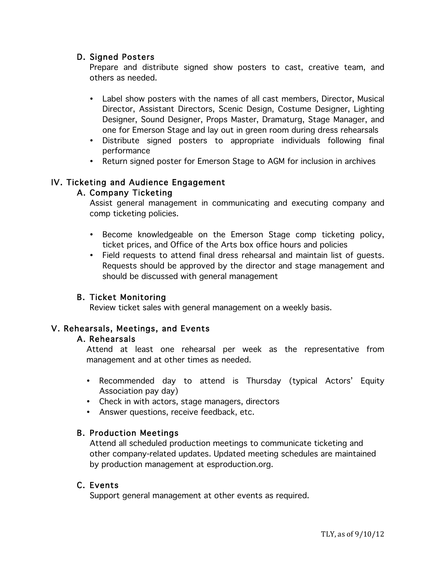### D. Signed Posters

Prepare and distribute signed show posters to cast, creative team, and others as needed.

- Label show posters with the names of all cast members, Director, Musical Director, Assistant Directors, Scenic Design, Costume Designer, Lighting Designer, Sound Designer, Props Master, Dramaturg, Stage Manager, and one for Emerson Stage and lay out in green room during dress rehearsals
- Distribute signed posters to appropriate individuals following final performance
- Return signed poster for Emerson Stage to AGM for inclusion in archives

# IV. Ticketing and Audience Engagement

# A. Company Ticketing

Assist general management in communicating and executing company and comp ticketing policies.

- Become knowledgeable on the Emerson Stage comp ticketing policy, ticket prices, and Office of the Arts box office hours and policies
- Field requests to attend final dress rehearsal and maintain list of guests. Requests should be approved by the director and stage management and should be discussed with general management

# B. Ticket Monitoring

Review ticket sales with general management on a weekly basis.

# V. Rehearsals, Meetings, and Events

#### A. Rehearsals

Attend at least one rehearsal per week as the representative from management and at other times as needed.

- Recommended day to attend is Thursday (typical Actors' Equity Association pay day)
- Check in with actors, stage managers, directors
- Answer questions, receive feedback, etc.

#### B. Production Meetings

Attend all scheduled production meetings to communicate ticketing and other company-related updates. Updated meeting schedules are maintained by production management at esproduction.org.

### C. Events

Support general management at other events as required.